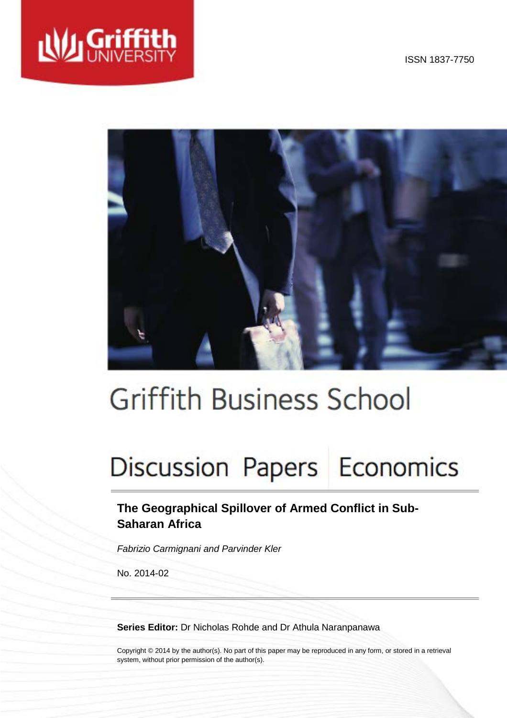

ISSN 1837-7750



# **Griffith Business School**

# Discussion Papers Economics

## **The Geographical Spillover of Armed Conflict in Sub-Saharan Africa**

*Fabrizio Carmignani and Parvinder Kler*

No. 2014-02

**Series Editor:** Dr Nicholas Rohde and Dr Athula Naranpanawa

Copyright © 2014 by the author(s). No part of this paper may be reproduced in any form, or stored in a retrieval system, without prior permission of the author(s).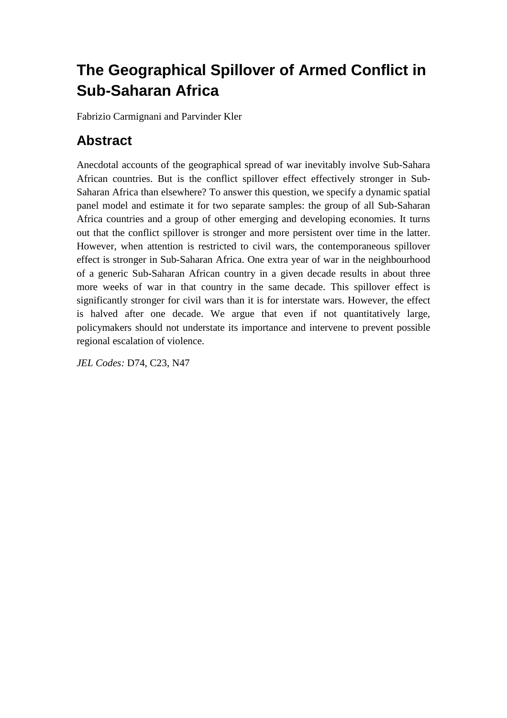## **The Geographical Spillover of Armed Conflict in Sub-Saharan Africa**

Fabrizio Carmignani and Parvinder Kler

## **Abstract**

Anecdotal accounts of the geographical spread of war inevitably involve Sub-Sahara African countries. But is the conflict spillover effect effectively stronger in Sub-Saharan Africa than elsewhere? To answer this question, we specify a dynamic spatial panel model and estimate it for two separate samples: the group of all Sub-Saharan Africa countries and a group of other emerging and developing economies. It turns out that the conflict spillover is stronger and more persistent over time in the latter. However, when attention is restricted to civil wars, the contemporaneous spillover effect is stronger in Sub-Saharan Africa. One extra year of war in the neighbourhood of a generic Sub-Saharan African country in a given decade results in about three more weeks of war in that country in the same decade. This spillover effect is significantly stronger for civil wars than it is for interstate wars. However, the effect is halved after one decade. We argue that even if not quantitatively large, policymakers should not understate its importance and intervene to prevent possible regional escalation of violence.

*JEL Codes:* D74, C23, N47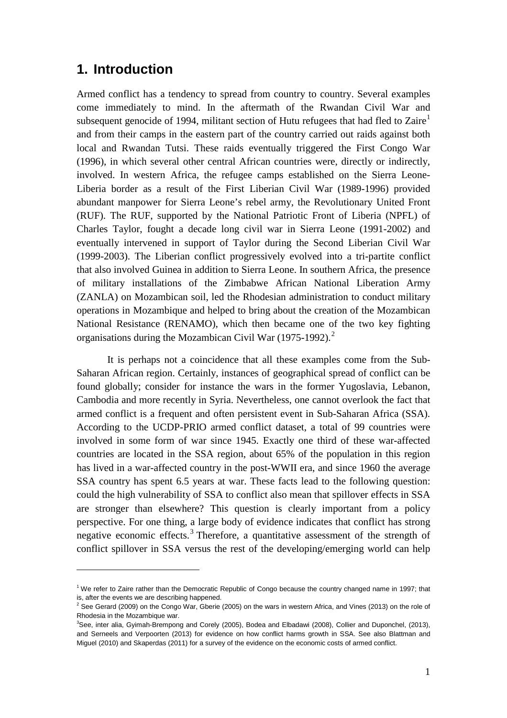### **1. Introduction**

 $\overline{a}$ 

Armed conflict has a tendency to spread from country to country. Several examples come immediately to mind. In the aftermath of the Rwandan Civil War and subsequent genocide of [1](#page-2-0)994, militant section of Hutu refugees that had fled to  $\text{Zaire}^1$ and from their camps in the eastern part of the country carried out raids against both local and Rwandan Tutsi. These raids eventually triggered the First Congo War (1996), in which several other central African countries were, directly or indirectly, involved. In western Africa, the refugee camps established on the Sierra Leone-Liberia border as a result of the First Liberian Civil War (1989-1996) provided abundant manpower for Sierra Leone's rebel army, the Revolutionary United Front (RUF). The RUF, supported by the National Patriotic Front of Liberia (NPFL) of Charles Taylor, fought a decade long civil war in Sierra Leone (1991-2002) and eventually intervened in support of Taylor during the Second Liberian Civil War (1999-2003). The Liberian conflict progressively evolved into a tri-partite conflict that also involved Guinea in addition to Sierra Leone. In southern Africa, the presence of military installations of the Zimbabwe African National Liberation Army (ZANLA) on Mozambican soil, led the Rhodesian administration to conduct military operations in Mozambique and helped to bring about the creation of the Mozambican National Resistance (RENAMO), which then became one of the two key fighting organisations during the Mozambican Civil War (1975-199[2](#page-2-1)). $^2$ 

It is perhaps not a coincidence that all these examples come from the Sub-Saharan African region. Certainly, instances of geographical spread of conflict can be found globally; consider for instance the wars in the former Yugoslavia, Lebanon, Cambodia and more recently in Syria. Nevertheless, one cannot overlook the fact that armed conflict is a frequent and often persistent event in Sub-Saharan Africa (SSA). According to the UCDP-PRIO armed conflict dataset, a total of 99 countries were involved in some form of war since 1945. Exactly one third of these war-affected countries are located in the SSA region, about 65% of the population in this region has lived in a war-affected country in the post-WWII era, and since 1960 the average SSA country has spent 6.5 years at war. These facts lead to the following question: could the high vulnerability of SSA to conflict also mean that spillover effects in SSA are stronger than elsewhere? This question is clearly important from a policy perspective. For one thing, a large body of evidence indicates that conflict has strong negative economic effects.<sup>[3](#page-2-2)</sup> Therefore, a quantitative assessment of the strength of conflict spillover in SSA versus the rest of the developing/emerging world can help

<span id="page-2-0"></span><sup>&</sup>lt;sup>1</sup> We refer to Zaire rather than the Democratic Republic of Congo because the country changed name in 1997; that is, after the events we are describing happened.

<span id="page-2-1"></span><sup>&</sup>lt;sup>2</sup> See Gerard (2009) on the Congo War, Gberie (2005) on the wars in western Africa, and Vines (2013) on the role of Rhodesia in the Mozambique war.

<span id="page-2-2"></span><sup>3</sup> See, inter alia, Gyimah-Brempong and Corely (2005), Bodea and Elbadawi (2008), Collier and Duponchel, (2013), and Serneels and Verpoorten (2013) for evidence on how conflict harms growth in SSA. See also Blattman and Miguel (2010) and Skaperdas (2011) for a survey of the evidence on the economic costs of armed conflict.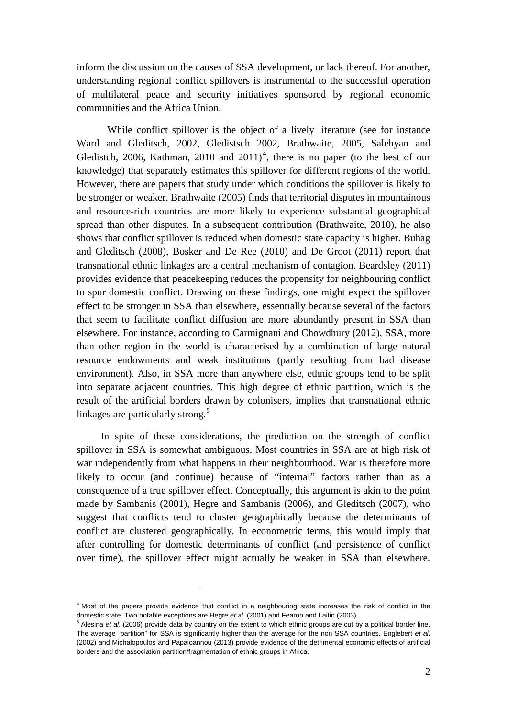inform the discussion on the causes of SSA development, or lack thereof. For another, understanding regional conflict spillovers is instrumental to the successful operation of multilateral peace and security initiatives sponsored by regional economic communities and the Africa Union.

While conflict spillover is the object of a lively literature (see for instance Ward and Gleditsch, 2002, Gledistsch 2002, Brathwaite, 2005, Salehyan and Gledistch, 2006, Kathman, 2010 and  $2011<sup>4</sup>$  $2011<sup>4</sup>$  $2011<sup>4</sup>$ , there is no paper (to the best of our knowledge) that separately estimates this spillover for different regions of the world. However, there are papers that study under which conditions the spillover is likely to be stronger or weaker. Brathwaite (2005) finds that territorial disputes in mountainous and resource-rich countries are more likely to experience substantial geographical spread than other disputes. In a subsequent contribution (Brathwaite, 2010), he also shows that conflict spillover is reduced when domestic state capacity is higher. Buhag and Gleditsch (2008), Bosker and De Ree (2010) and De Groot (2011) report that transnational ethnic linkages are a central mechanism of contagion. Beardsley (2011) provides evidence that peacekeeping reduces the propensity for neighbouring conflict to spur domestic conflict. Drawing on these findings, one might expect the spillover effect to be stronger in SSA than elsewhere, essentially because several of the factors that seem to facilitate conflict diffusion are more abundantly present in SSA than elsewhere. For instance, according to Carmignani and Chowdhury (2012), SSA, more than other region in the world is characterised by a combination of large natural resource endowments and weak institutions (partly resulting from bad disease environment). Also, in SSA more than anywhere else, ethnic groups tend to be split into separate adjacent countries. This high degree of ethnic partition, which is the result of the artificial borders drawn by colonisers, implies that transnational ethnic linkages are particularly strong.<sup>[5](#page-3-1)</sup>

In spite of these considerations, the prediction on the strength of conflict spillover in SSA is somewhat ambiguous. Most countries in SSA are at high risk of war independently from what happens in their neighbourhood. War is therefore more likely to occur (and continue) because of "internal" factors rather than as a consequence of a true spillover effect. Conceptually, this argument is akin to the point made by Sambanis (2001), Hegre and Sambanis (2006), and Gleditsch (2007), who suggest that conflicts tend to cluster geographically because the determinants of conflict are clustered geographically. In econometric terms, this would imply that after controlling for domestic determinants of conflict (and persistence of conflict over time), the spillover effect might actually be weaker in SSA than elsewhere.

 $\overline{a}$ 

<span id="page-3-0"></span> $4$  Most of the papers provide evidence that conflict in a neighbouring state increases the risk of conflict in the domestic state. Two notable exceptions are Hegre et al. (2001) and Fearon and Laitin (2003).

<span id="page-3-1"></span><sup>&</sup>lt;sup>5</sup> Alesina et al. (2006) provide data by country on the extent to which ethnic groups are cut by a political border line. The average "partition" for SSA is significantly higher than the average for the non SSA countries. Englebert *et al*. (2002) and Michalopoulos and Papaioannou (2013) provide evidence of the detrimental economic effects of artificial borders and the association partition/fragmentation of ethnic groups in Africa.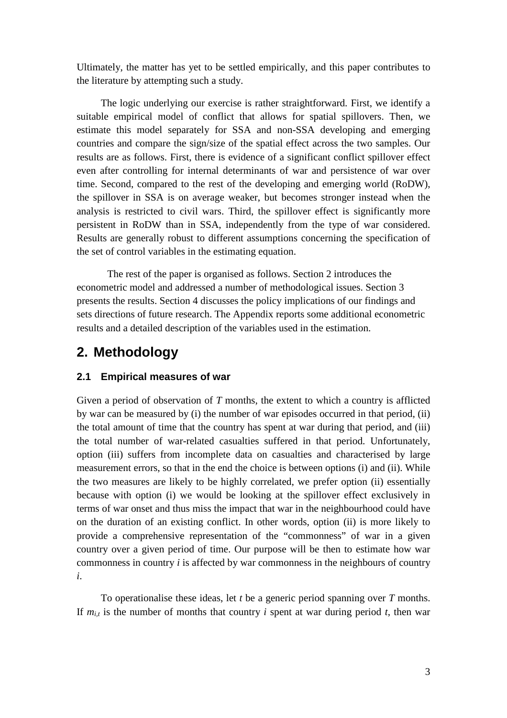Ultimately, the matter has yet to be settled empirically, and this paper contributes to the literature by attempting such a study.

The logic underlying our exercise is rather straightforward. First, we identify a suitable empirical model of conflict that allows for spatial spillovers. Then, we estimate this model separately for SSA and non-SSA developing and emerging countries and compare the sign/size of the spatial effect across the two samples. Our results are as follows. First, there is evidence of a significant conflict spillover effect even after controlling for internal determinants of war and persistence of war over time. Second, compared to the rest of the developing and emerging world (RoDW), the spillover in SSA is on average weaker, but becomes stronger instead when the analysis is restricted to civil wars. Third, the spillover effect is significantly more persistent in RoDW than in SSA, independently from the type of war considered. Results are generally robust to different assumptions concerning the specification of the set of control variables in the estimating equation.

The rest of the paper is organised as follows. Section 2 introduces the econometric model and addressed a number of methodological issues. Section 3 presents the results. Section 4 discusses the policy implications of our findings and sets directions of future research. The Appendix reports some additional econometric results and a detailed description of the variables used in the estimation.

## **2. Methodology**

#### **2.1 Empirical measures of war**

Given a period of observation of *T* months, the extent to which a country is afflicted by war can be measured by (i) the number of war episodes occurred in that period, (ii) the total amount of time that the country has spent at war during that period, and (iii) the total number of war-related casualties suffered in that period. Unfortunately, option (iii) suffers from incomplete data on casualties and characterised by large measurement errors, so that in the end the choice is between options (i) and (ii). While the two measures are likely to be highly correlated, we prefer option (ii) essentially because with option (i) we would be looking at the spillover effect exclusively in terms of war onset and thus miss the impact that war in the neighbourhood could have on the duration of an existing conflict. In other words, option (ii) is more likely to provide a comprehensive representation of the "commonness" of war in a given country over a given period of time. Our purpose will be then to estimate how war commonness in country *i* is affected by war commonness in the neighbours of country *i*.

To operationalise these ideas, let *t* be a generic period spanning over *T* months. If  $m_{i,t}$  is the number of months that country *i* spent at war during period *t*, then war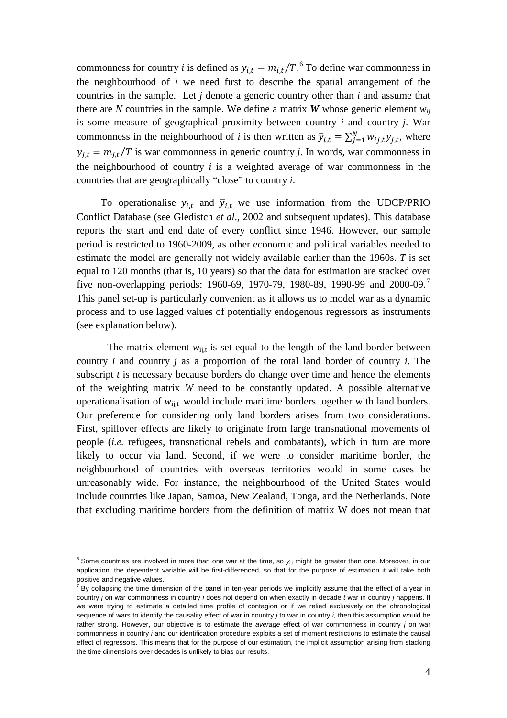commonness for country *i* is defined as  $y_{i,t} = m_{i,t}/T$ .<sup>[6](#page-5-0)</sup> To define war commonness in the neighbourhood of *i* we need first to describe the spatial arrangement of the countries in the sample. Let *j* denote a generic country other than *i* and assume that there are *N* countries in the sample. We define a matrix *W* whose generic element  $w_{ij}$ is some measure of geographical proximity between country *i* and country *j*. War commonness in the neighbourhood of *i* is then written as  $\overline{y}_{i,t} = \sum_{j=1}^{N} w_{ij,t} y_{j,t}$ , where  $y_{i,t} = m_{i,t}/T$  is war commonness in generic country *j*. In words, war commonness in the neighbourhood of country *i* is a weighted average of war commonness in the countries that are geographically "close" to country *i*.

To operationalise  $y_{i,t}$  and  $\bar{y}_{i,t}$  we use information from the UDCP/PRIO Conflict Database (see Gledistch *et al*., 2002 and subsequent updates). This database reports the start and end date of every conflict since 1946. However, our sample period is restricted to 1960-2009, as other economic and political variables needed to estimate the model are generally not widely available earlier than the 1960s. *T* is set equal to 120 months (that is, 10 years) so that the data for estimation are stacked over five non-overlapping periods: 1960-69, 19[7](#page-5-1)0-79, 1980-89, 1990-99 and 2000-09.<sup>7</sup> This panel set-up is particularly convenient as it allows us to model war as a dynamic process and to use lagged values of potentially endogenous regressors as instruments (see explanation below).

The matrix element  $w_{ij,t}$  is set equal to the length of the land border between country *i* and country *j* as a proportion of the total land border of country *i*. The subscript *t* is necessary because borders do change over time and hence the elements of the weighting matrix *W* need to be constantly updated. A possible alternative operationalisation of  $w_{i,j}$ , would include maritime borders together with land borders. Our preference for considering only land borders arises from two considerations. First, spillover effects are likely to originate from large transnational movements of people (*i.e.* refugees, transnational rebels and combatants), which in turn are more likely to occur via land. Second, if we were to consider maritime border, the neighbourhood of countries with overseas territories would in some cases be unreasonably wide. For instance, the neighbourhood of the United States would include countries like Japan, Samoa, New Zealand, Tonga, and the Netherlands. Note that excluding maritime borders from the definition of matrix W does not mean that

 $\overline{a}$ 

<span id="page-5-0"></span> $6$  Some countries are involved in more than one war at the time, so  $y_{i,t}$  might be greater than one. Moreover, in our application, the dependent variable will be first-differenced, so that for the purpose of estimation it will take both positive and negative values.

<span id="page-5-1"></span> $^7$  By collapsing the time dimension of the panel in ten-year periods we implicitly assume that the effect of a year in country *j* on war commonness in country *i* does not depend on when exactly in decade *t* war in country *j* happens. If we were trying to estimate a detailed time profile of contagion or if we relied exclusively on the chronological sequence of wars to identify the causality effect of war in country *j* to war in country *i*, then this assumption would be rather strong. However, our objective is to estimate the *average* effect of war commonness in country *j* on war commonness in country *i* and our identification procedure exploits a set of moment restrictions to estimate the causal effect of regressors. This means that for the purpose of our estimation, the implicit assumption arising from stacking the time dimensions over decades is unlikely to bias our results.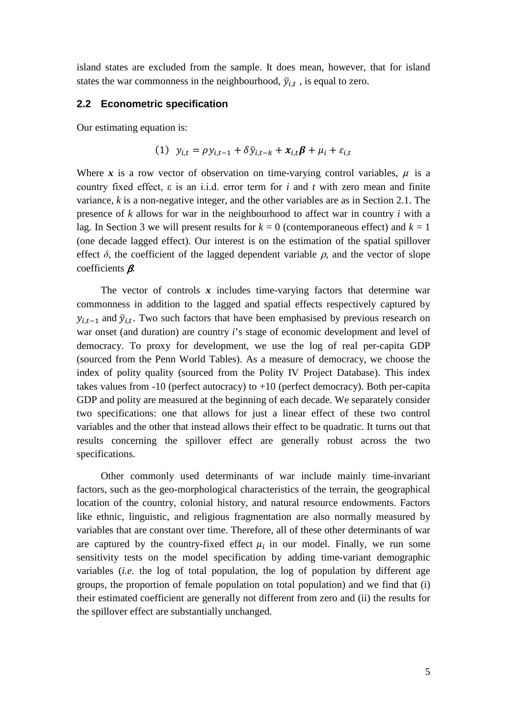island states are excluded from the sample. It does mean, however, that for island states the war commonness in the neighbourhood,  $\bar{y}_{i,t}$ , is equal to zero.

#### **2.2 Econometric specification**

Our estimating equation is:

$$
(1) \ \ y_{i,t} = \rho y_{i,t-1} + \delta \bar{y}_{i,t-k} + x_{i,t} \beta + \mu_i + \varepsilon_{i,t}
$$

Where x is a row vector of observation on time-varying control variables,  $\mu$  is a country fixed effect, ε is an i.i.d. error term for *i* and *t* with zero mean and finite variance, *k* is a non-negative integer, and the other variables are as in Section 2.1. The presence of *k* allows for war in the neighbourhood to affect war in country *i* with a lag. In Section 3 we will present results for  $k = 0$  (contemporaneous effect) and  $k = 1$ (one decade lagged effect). Our interest is on the estimation of the spatial spillover effect  $\delta$ , the coefficient of the lagged dependent variable  $\rho$ , and the vector of slope coefficients  $\beta$ .

The vector of controls  $x$  includes time-varying factors that determine war commonness in addition to the lagged and spatial effects respectively captured by  $y_{i,t-1}$  and  $\bar{y}_{i,t}$ . Two such factors that have been emphasised by previous research on war onset (and duration) are country *i*'s stage of economic development and level of democracy. To proxy for development, we use the log of real per-capita GDP (sourced from the Penn World Tables). As a measure of democracy, we choose the index of polity quality (sourced from the Polity IV Project Database). This index takes values from -10 (perfect autocracy) to +10 (perfect democracy). Both per-capita GDP and polity are measured at the beginning of each decade. We separately consider two specifications: one that allows for just a linear effect of these two control variables and the other that instead allows their effect to be quadratic. It turns out that results concerning the spillover effect are generally robust across the two specifications.

Other commonly used determinants of war include mainly time-invariant factors, such as the geo-morphological characteristics of the terrain, the geographical location of the country, colonial history, and natural resource endowments. Factors like ethnic, linguistic, and religious fragmentation are also normally measured by variables that are constant over time. Therefore, all of these other determinants of war are captured by the country-fixed effect  $\mu_i$  in our model. Finally, we run some sensitivity tests on the model specification by adding time-variant demographic variables (*i.e.* the log of total population, the log of population by different age groups, the proportion of female population on total population) and we find that (i) their estimated coefficient are generally not different from zero and (ii) the results for the spillover effect are substantially unchanged.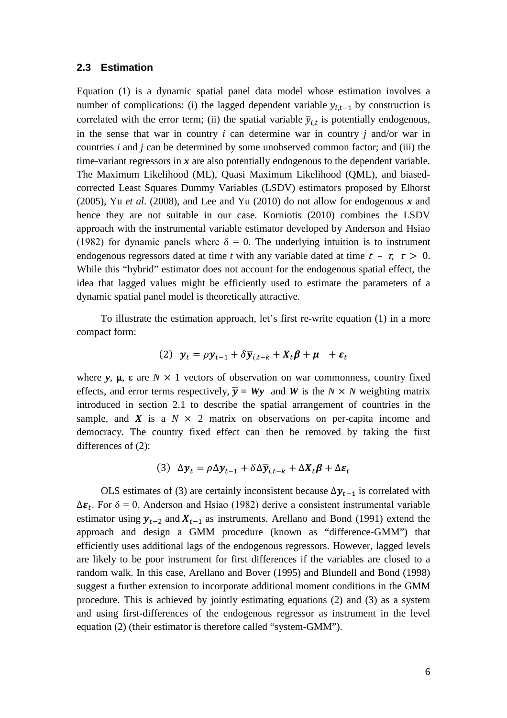#### **2.3 Estimation**

Equation (1) is a dynamic spatial panel data model whose estimation involves a number of complications: (i) the lagged dependent variable  $y_{i,t-1}$  by construction is correlated with the error term; (ii) the spatial variable  $\bar{y}_{i,t}$  is potentially endogenous, in the sense that war in country *i* can determine war in country *j* and/or war in countries *i* and *j* can be determined by some unobserved common factor; and (iii) the time-variant regressors in x are also potentially endogenous to the dependent variable. The Maximum Likelihood (ML), Quasi Maximum Likelihood (QML), and biasedcorrected Least Squares Dummy Variables (LSDV) estimators proposed by Elhorst (2005), Yu *et al*. (2008), and Lee and Yu (2010) do not allow for endogenous *x* and hence they are not suitable in our case. Korniotis (2010) combines the LSDV approach with the instrumental variable estimator developed by Anderson and Hsiao (1982) for dynamic panels where  $\delta = 0$ . The underlying intuition is to instrument endogenous regressors dated at time *t* with any variable dated at time  $t - \tau$ ,  $\tau > 0$ . While this "hybrid" estimator does not account for the endogenous spatial effect, the idea that lagged values might be efficiently used to estimate the parameters of a dynamic spatial panel model is theoretically attractive.

To illustrate the estimation approach, let's first re-write equation (1) in a more compact form:

(2) 
$$
y_t = \rho y_{t-1} + \delta \overline{y}_{i,t-k} + X_t \beta + \mu + \varepsilon_t
$$

where  $y$ ,  $\mu$ ,  $\varepsilon$  are  $N \times 1$  vectors of observation on war commonness, country fixed effects, and error terms respectively,  $\overline{y} = Wy$  and *W* is the *N* × *N* weighting matrix introduced in section 2.1 to describe the spatial arrangement of countries in the sample, and  $X$  is a  $N \times 2$  matrix on observations on per-capita income and democracy. The country fixed effect can then be removed by taking the first differences of (2):

$$
(3) \ \Delta \mathbf{y}_t = \rho \Delta \mathbf{y}_{t-1} + \delta \Delta \overline{\mathbf{y}}_{i,t-k} + \Delta \mathbf{X}_t \boldsymbol{\beta} + \Delta \boldsymbol{\varepsilon}_t
$$

OLS estimates of (3) are certainly inconsistent because  $\Delta y_{t-1}$  is correlated with  $\Delta \varepsilon_t$ . For  $\delta = 0$ , Anderson and Hsiao (1982) derive a consistent instrumental variable estimator using  $y_{t-2}$  and  $X_{t-1}$  as instruments. Arellano and Bond (1991) extend the approach and design a GMM procedure (known as "difference-GMM") that efficiently uses additional lags of the endogenous regressors. However, lagged levels are likely to be poor instrument for first differences if the variables are closed to a random walk. In this case, Arellano and Bover (1995) and Blundell and Bond (1998) suggest a further extension to incorporate additional moment conditions in the GMM procedure. This is achieved by jointly estimating equations (2) and (3) as a system and using first-differences of the endogenous regressor as instrument in the level equation (2) (their estimator is therefore called "system-GMM").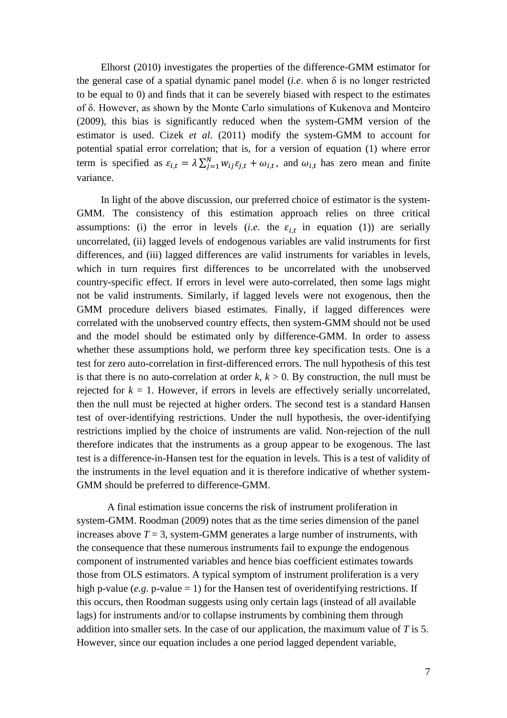Elhorst (2010) investigates the properties of the difference-GMM estimator for the general case of a spatial dynamic panel model (*i.e.* when  $\delta$  is no longer restricted to be equal to 0) and finds that it can be severely biased with respect to the estimates of δ. However, as shown by the Monte Carlo simulations of Kukenova and Monteiro (2009), this bias is significantly reduced when the system-GMM version of the estimator is used. Cizek *et al*. (2011) modify the system-GMM to account for potential spatial error correlation; that is, for a version of equation (1) where error term is specified as  $\varepsilon_{i,t} = \lambda \sum_{j=1}^{N} w_{ij} \varepsilon_{j,t} + \omega_{i,t}$ , and  $\omega_{i,t}$  has zero mean and finite variance.

In light of the above discussion, our preferred choice of estimator is the system-GMM. The consistency of this estimation approach relies on three critical assumptions: (i) the error in levels (*i.e.* the  $\varepsilon_{i,t}$  in equation (1)) are serially uncorrelated, (ii) lagged levels of endogenous variables are valid instruments for first differences, and (iii) lagged differences are valid instruments for variables in levels, which in turn requires first differences to be uncorrelated with the unobserved country-specific effect. If errors in level were auto-correlated, then some lags might not be valid instruments. Similarly, if lagged levels were not exogenous, then the GMM procedure delivers biased estimates. Finally, if lagged differences were correlated with the unobserved country effects, then system-GMM should not be used and the model should be estimated only by difference-GMM. In order to assess whether these assumptions hold, we perform three key specification tests. One is a test for zero auto-correlation in first-differenced errors. The null hypothesis of this test is that there is no auto-correlation at order  $k, k > 0$ . By construction, the null must be rejected for  $k = 1$ . However, if errors in levels are effectively serially uncorrelated, then the null must be rejected at higher orders. The second test is a standard Hansen test of over-identifying restrictions. Under the null hypothesis, the over-identifying restrictions implied by the choice of instruments are valid. Non-rejection of the null therefore indicates that the instruments as a group appear to be exogenous. The last test is a difference-in-Hansen test for the equation in levels. This is a test of validity of the instruments in the level equation and it is therefore indicative of whether system-GMM should be preferred to difference-GMM.

A final estimation issue concerns the risk of instrument proliferation in system-GMM. Roodman (2009) notes that as the time series dimension of the panel increases above  $T = 3$ , system-GMM generates a large number of instruments, with the consequence that these numerous instruments fail to expunge the endogenous component of instrumented variables and hence bias coefficient estimates towards those from OLS estimators. A typical symptom of instrument proliferation is a very high p-value  $(e.g. p-value = 1)$  for the Hansen test of overidentifying restrictions. If this occurs, then Roodman suggests using only certain lags (instead of all available lags) for instruments and/or to collapse instruments by combining them through addition into smaller sets. In the case of our application, the maximum value of *T* is 5. However, since our equation includes a one period lagged dependent variable,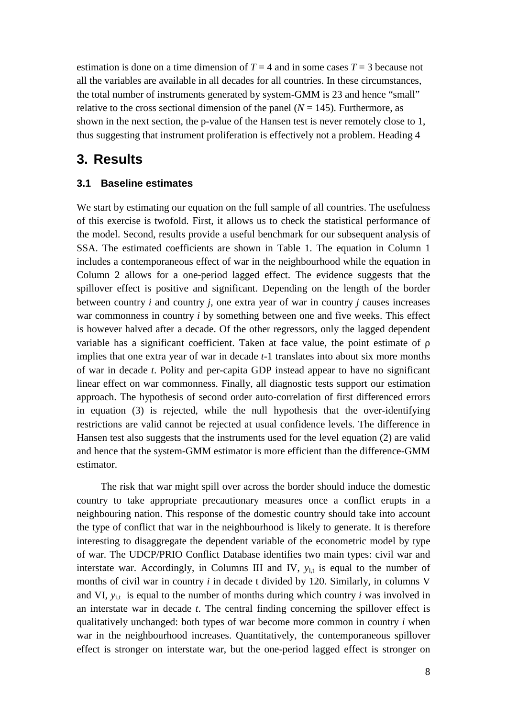estimation is done on a time dimension of  $T = 4$  and in some cases  $T = 3$  because not all the variables are available in all decades for all countries. In these circumstances, the total number of instruments generated by system-GMM is 23 and hence "small" relative to the cross sectional dimension of the panel  $(N = 145)$ . Furthermore, as shown in the next section, the p-value of the Hansen test is never remotely close to 1, thus suggesting that instrument proliferation is effectively not a problem. Heading 4

## **3. Results**

#### **3.1 Baseline estimates**

We start by estimating our equation on the full sample of all countries. The usefulness of this exercise is twofold. First, it allows us to check the statistical performance of the model. Second, results provide a useful benchmark for our subsequent analysis of SSA. The estimated coefficients are shown in Table 1. The equation in Column 1 includes a contemporaneous effect of war in the neighbourhood while the equation in Column 2 allows for a one-period lagged effect. The evidence suggests that the spillover effect is positive and significant. Depending on the length of the border between country *i* and country *j*, one extra year of war in country *j* causes increases war commonness in country *i* by something between one and five weeks. This effect is however halved after a decade. Of the other regressors, only the lagged dependent variable has a significant coefficient. Taken at face value, the point estimate of ρ implies that one extra year of war in decade *t-*1 translates into about six more months of war in decade *t*. Polity and per-capita GDP instead appear to have no significant linear effect on war commonness. Finally, all diagnostic tests support our estimation approach. The hypothesis of second order auto-correlation of first differenced errors in equation (3) is rejected, while the null hypothesis that the over-identifying restrictions are valid cannot be rejected at usual confidence levels. The difference in Hansen test also suggests that the instruments used for the level equation (2) are valid and hence that the system-GMM estimator is more efficient than the difference-GMM estimator.

The risk that war might spill over across the border should induce the domestic country to take appropriate precautionary measures once a conflict erupts in a neighbouring nation. This response of the domestic country should take into account the type of conflict that war in the neighbourhood is likely to generate. It is therefore interesting to disaggregate the dependent variable of the econometric model by type of war. The UDCP/PRIO Conflict Database identifies two main types: civil war and interstate war. Accordingly, in Columns III and IV,  $y_{i,t}$  is equal to the number of months of civil war in country *i* in decade t divided by 120. Similarly, in columns V and VI,  $y_{i,t}$  is equal to the number of months during which country *i* was involved in an interstate war in decade *t*. The central finding concerning the spillover effect is qualitatively unchanged: both types of war become more common in country *i* when war in the neighbourhood increases. Quantitatively, the contemporaneous spillover effect is stronger on interstate war, but the one-period lagged effect is stronger on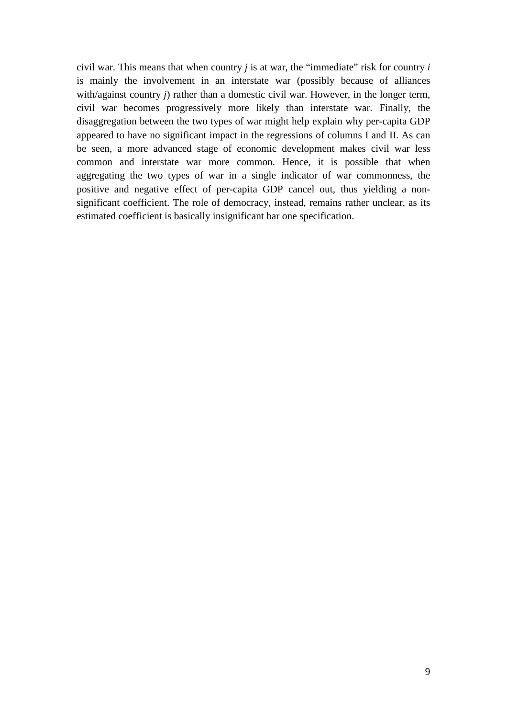civil war. This means that when country  $j$  is at war, the "immediate" risk for country  $i$ is mainly the involvement in an interstate war (possibly because of alliances with/against country *j*) rather than a domestic civil war. However, in the longer term, civil war becomes progressively more likely than interstate war. Finally, the disaggregation between the two types of war might help explain why per-capita GDP appeared to have no significant impact in the regressions of columns I and II. As can be seen, a more advanced stage of economic development makes civil war less common and interstate war more common. Hence, it is possible that when aggregating the two types of war in a single indicator of war commonness, the positive and negative effect of per-capita GDP cancel out, thus yielding a nonsignificant coefficient. The role of democracy, instead, remains rather unclear, as its estimated coefficient is basically insignificant bar one specification.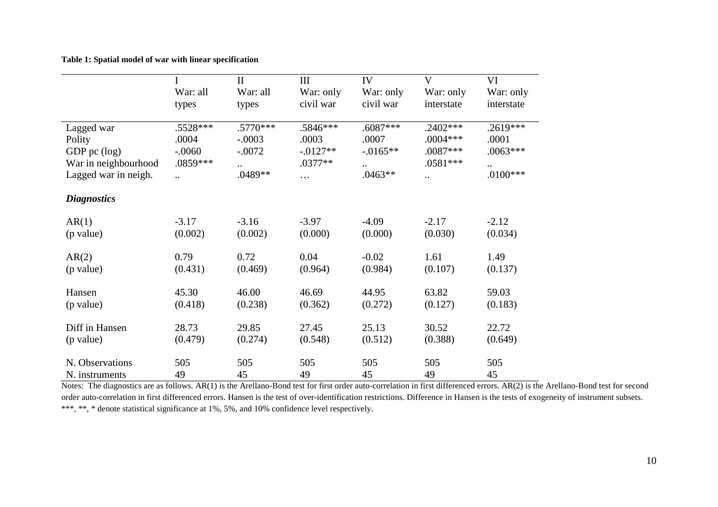#### **Table 1: Spatial model of war with linear specification**

|                      | I                     | $\mathbf{I}$ | III       | IV          | V          | VI         |
|----------------------|-----------------------|--------------|-----------|-------------|------------|------------|
|                      | War: all              | War: all     | War: only | War: only   | War: only  | War: only  |
|                      | types                 | types        | civil war | civil war   | interstate | interstate |
| Lagged war           | .5528***              | $.5770***$   | .5846***  | $.6087***$  | $.2402***$ | $.2619***$ |
| Polity               | .0004                 | $-.0003$     | .0003     | .0007       | .0004***   | .0001      |
| GDP pc $(\log)$      | $-.0060$              | $-.0072$     | $-0127**$ | $-0.0165**$ | .0087***   | $.0063***$ |
| War in neighbourhood | .0859***              | $\ddotsc$    | $.0377**$ | $\ddotsc$   | $.0581***$ | $\ddots$   |
| Lagged war in neigh. | $\dddot{\phantom{0}}$ | .0489**      | $\cdots$  | $.0463**$   | $\ddotsc$  | $.0100***$ |
| <b>Diagnostics</b>   |                       |              |           |             |            |            |
| AR(1)                | $-3.17$               | $-3.16$      | $-3.97$   | $-4.09$     | $-2.17$    | $-2.12$    |
| (p value)            | (0.002)               | (0.002)      | (0.000)   | (0.000)     | (0.030)    | (0.034)    |
| AR(2)                | 0.79                  | 0.72         | 0.04      | $-0.02$     | 1.61       | 1.49       |
| (p value)            | (0.431)               | (0.469)      | (0.964)   | (0.984)     | (0.107)    | (0.137)    |
| Hansen               | 45.30                 | 46.00        | 46.69     | 44.95       | 63.82      | 59.03      |
| (p value)            | (0.418)               | (0.238)      | (0.362)   | (0.272)     | (0.127)    | (0.183)    |
| Diff in Hansen       | 28.73                 | 29.85        | 27.45     | 25.13       | 30.52      | 22.72      |
| (p value)            | (0.479)               | (0.274)      | (0.548)   | (0.512)     | (0.388)    | (0.649)    |
| N. Observations      | 505                   | 505          | 505       | 505         | 505        | 505        |
| N. instruments       | 49                    | 45           | 49        | 45          | 49         | 45         |

Notes: The diagnostics are as follows. AR(1) is the Arellano-Bond test for first order auto-correlation in first differenced errors. AR(2) is the Arellano-Bond test for second order auto-correlation in first differenced errors. Hansen is the test of over-identification restrictions. Difference in Hansen is the tests of exogeneity of instrument subsets. \*\*\*, \*\*, \* denote statistical significance at 1%, 5%, and 10% confidence level respectively.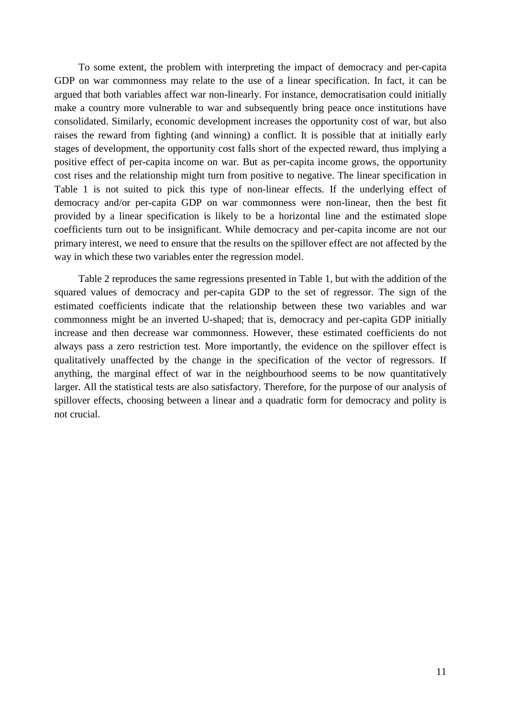To some extent, the problem with interpreting the impact of democracy and per-capita GDP on war commonness may relate to the use of a linear specification. In fact, it can be argued that both variables affect war non-linearly. For instance, democratisation could initially make a country more vulnerable to war and subsequently bring peace once institutions have consolidated. Similarly, economic development increases the opportunity cost of war, but also raises the reward from fighting (and winning) a conflict. It is possible that at initially early stages of development, the opportunity cost falls short of the expected reward, thus implying a positive effect of per-capita income on war. But as per-capita income grows, the opportunity cost rises and the relationship might turn from positive to negative. The linear specification in Table 1 is not suited to pick this type of non-linear effects. If the underlying effect of democracy and/or per-capita GDP on war commonness were non-linear, then the best fit provided by a linear specification is likely to be a horizontal line and the estimated slope coefficients turn out to be insignificant. While democracy and per-capita income are not our primary interest, we need to ensure that the results on the spillover effect are not affected by the way in which these two variables enter the regression model.

Table 2 reproduces the same regressions presented in Table 1, but with the addition of the squared values of democracy and per-capita GDP to the set of regressor. The sign of the estimated coefficients indicate that the relationship between these two variables and war commonness might be an inverted U-shaped; that is, democracy and per-capita GDP initially increase and then decrease war commonness. However, these estimated coefficients do not always pass a zero restriction test. More importantly, the evidence on the spillover effect is qualitatively unaffected by the change in the specification of the vector of regressors. If anything, the marginal effect of war in the neighbourhood seems to be now quantitatively larger. All the statistical tests are also satisfactory. Therefore, for the purpose of our analysis of spillover effects, choosing between a linear and a quadratic form for democracy and polity is not crucial.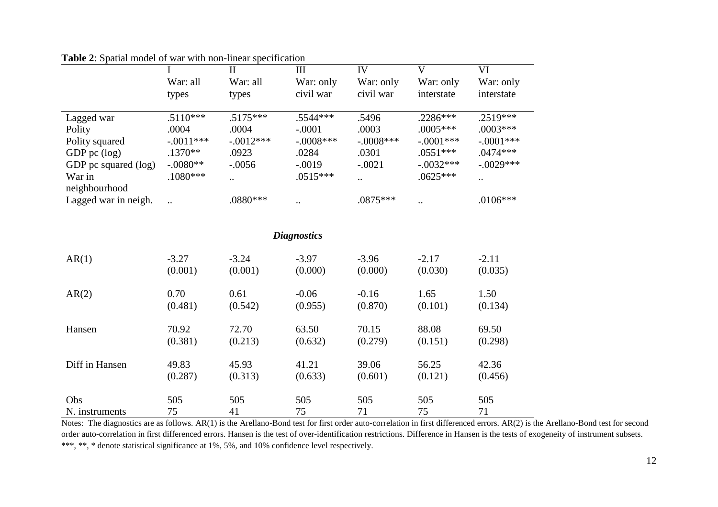|                         |             | П           | Ш                  | IV            | V                    | VI          |
|-------------------------|-------------|-------------|--------------------|---------------|----------------------|-------------|
|                         | War: all    | War: all    | War: only          | War: only     | War: only            | War: only   |
|                         | types       | types       | civil war          | civil war     | interstate           | interstate  |
| Lagged war              | $.5110***$  | $.5175***$  | $.5544***$         | .5496         | $.2286***$           | $.2519***$  |
| Polity                  | .0004       | .0004       | $-.0001$           | .0003         | $.0005***$           | $.0003***$  |
| Polity squared          | $-.0011***$ | $-.0012***$ | $-.0008***$        | $-.0008***$   | $-.0001***$          | $-.0001***$ |
| GDP pc $(log)$          | $.1370**$   | .0923       | .0284              | .0301         | $.0551***$           | $.0474***$  |
| GDP pc squared (log)    | $-.0080**$  | $-.0056$    | $-.0019$           | $-.0021$      | $-.0032***$          | $-.0029***$ |
| War in<br>neighbourhood | $.1080***$  | $\cdot$ .   | $.0515***$         | $\cdot \cdot$ | $.0625***$           | $\ddotsc$   |
| Lagged war in neigh.    | $\ddotsc$   | $.0880***$  | $\cdot \cdot$      | $.0875***$    | $\ddot{\phantom{0}}$ | $.0106***$  |
|                         |             |             | <b>Diagnostics</b> |               |                      |             |

**Table 2**: Spatial model of war with non-linear specification

| AR(1)          | $-3.27$ | $-3.24$ | $-3.97$ | $-3.96$ | $-2.17$ | $-2.11$ |
|----------------|---------|---------|---------|---------|---------|---------|
|                | (0.001) | (0.001) | (0.000) | (0.000) | (0.030) | (0.035) |
| AR(2)          | 0.70    | 0.61    | $-0.06$ | $-0.16$ | 1.65    | 1.50    |
|                | (0.481) | (0.542) | (0.955) | (0.870) | (0.101) | (0.134) |
| Hansen         | 70.92   | 72.70   | 63.50   | 70.15   | 88.08   | 69.50   |
|                | (0.381) | (0.213) | (0.632) | (0.279) | (0.151) | (0.298) |
| Diff in Hansen | 49.83   | 45.93   | 41.21   | 39.06   | 56.25   | 42.36   |
|                | (0.287) | (0.313) | (0.633) | (0.601) | (0.121) | (0.456) |
| Obs            | 505     | 505     | 505     | 505     | 505     | 505     |
| N. instruments | 75      | 41      | 75      | 71      | 75      | 71      |

Notes: The diagnostics are as follows. AR(1) is the Arellano-Bond test for first order auto-correlation in first differenced errors. AR(2) is the Arellano-Bond test for second order auto-correlation in first differenced errors. Hansen is the test of over-identification restrictions. Difference in Hansen is the tests of exogeneity of instrument subsets. \*\*\*, \*\*, \* denote statistical significance at 1%, 5%, and 10% confidence level respectively.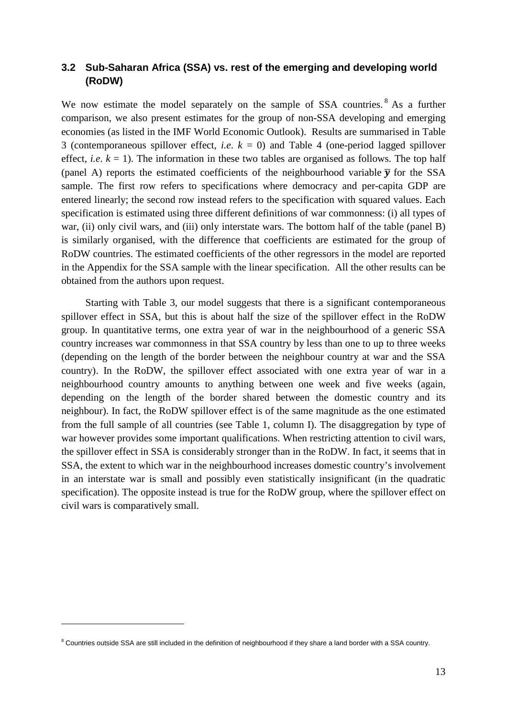#### **3.2 Sub-Saharan Africa (SSA) vs. rest of the emerging and developing world (RoDW)**

We now estimate the model separately on the sample of SSA countries.<sup>[8](#page-14-0)</sup> As a further comparison, we also present estimates for the group of non-SSA developing and emerging economies (as listed in the IMF World Economic Outlook). Results are summarised in Table 3 (contemporaneous spillover effect, *i.e*. *k* = 0) and Table 4 (one-period lagged spillover effect, *i.e.*  $k = 1$ ). The information in these two tables are organised as follows. The top half (panel A) reports the estimated coefficients of the neighbourhood variable  $\bar{y}$  for the SSA sample. The first row refers to specifications where democracy and per-capita GDP are entered linearly; the second row instead refers to the specification with squared values. Each specification is estimated using three different definitions of war commonness: (i) all types of war, (ii) only civil wars, and (iii) only interstate wars. The bottom half of the table (panel B) is similarly organised, with the difference that coefficients are estimated for the group of RoDW countries. The estimated coefficients of the other regressors in the model are reported in the Appendix for the SSA sample with the linear specification. All the other results can be obtained from the authors upon request.

Starting with Table 3, our model suggests that there is a significant contemporaneous spillover effect in SSA, but this is about half the size of the spillover effect in the RoDW group. In quantitative terms, one extra year of war in the neighbourhood of a generic SSA country increases war commonness in that SSA country by less than one to up to three weeks (depending on the length of the border between the neighbour country at war and the SSA country). In the RoDW, the spillover effect associated with one extra year of war in a neighbourhood country amounts to anything between one week and five weeks (again, depending on the length of the border shared between the domestic country and its neighbour). In fact, the RoDW spillover effect is of the same magnitude as the one estimated from the full sample of all countries (see Table 1, column I). The disaggregation by type of war however provides some important qualifications. When restricting attention to civil wars, the spillover effect in SSA is considerably stronger than in the RoDW. In fact, it seems that in SSA, the extent to which war in the neighbourhood increases domestic country's involvement in an interstate war is small and possibly even statistically insignificant (in the quadratic specification). The opposite instead is true for the RoDW group, where the spillover effect on civil wars is comparatively small.

 $\overline{a}$ 

<span id="page-14-0"></span><sup>&</sup>lt;sup>8</sup> Countries outside SSA are still included in the definition of neighbourhood if they share a land border with a SSA country.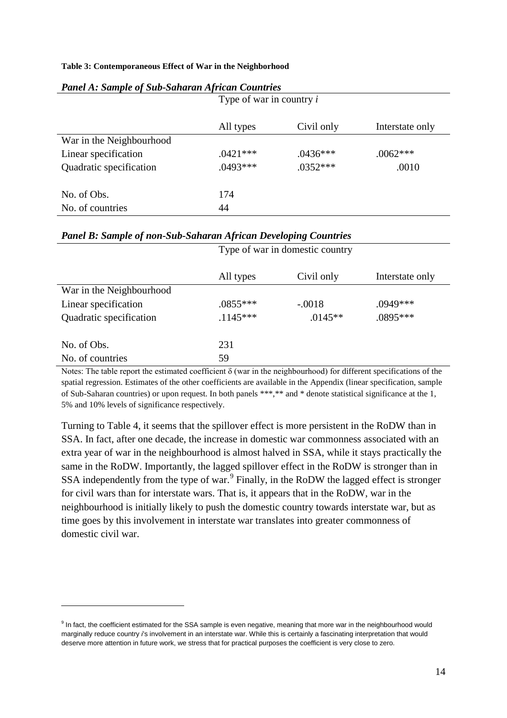#### **Table 3: Contemporaneous Effect of War in the Neighborhood**

|                          | Type of war in country i |            |                 |
|--------------------------|--------------------------|------------|-----------------|
|                          | All types                | Civil only | Interstate only |
| War in the Neighbourhood |                          |            |                 |
| Linear specification     | $.0421***$               | $.0436***$ | $.0062***$      |
| Quadratic specification  | $.0493***$               | $.0352***$ | .0010           |
| No. of Obs.              | 174                      |            |                 |
| No. of countries         | 44                       |            |                 |

#### *Panel A: Sample of Sub-Saharan African Countries*

#### *Panel B: Sample of non-Sub-Saharan African Developing Countries*

|                          | Type of war in domestic country |            |                 |
|--------------------------|---------------------------------|------------|-----------------|
|                          | All types                       | Civil only | Interstate only |
| War in the Neighbourhood |                                 |            |                 |
| Linear specification     | $.0855***$                      | $-.0018$   | .0949***        |
| Quadratic specification  | $.1145***$                      | $.0145**$  | $.0895***$      |
| No. of Obs.              | 231                             |            |                 |
| No. of countries         | 59                              |            |                 |

Notes: The table report the estimated coefficient δ (war in the neighbourhood) for different specifications of the spatial regression. Estimates of the other coefficients are available in the Appendix (linear specification, sample of Sub-Saharan countries) or upon request. In both panels \*\*\*,\*\* and \* denote statistical significance at the 1, 5% and 10% levels of significance respectively.

Turning to Table 4, it seems that the spillover effect is more persistent in the RoDW than in SSA. In fact, after one decade, the increase in domestic war commonness associated with an extra year of war in the neighbourhood is almost halved in SSA, while it stays practically the same in the RoDW. Importantly, the lagged spillover effect in the RoDW is stronger than in SSA independently from the type of war.<sup>[9](#page-15-0)</sup> Finally, in the RoDW the lagged effect is stronger for civil wars than for interstate wars. That is, it appears that in the RoDW, war in the neighbourhood is initially likely to push the domestic country towards interstate war, but as time goes by this involvement in interstate war translates into greater commonness of domestic civil war.

 $\overline{a}$ 

<span id="page-15-0"></span><sup>&</sup>lt;sup>9</sup> In fact, the coefficient estimated for the SSA sample is even negative, meaning that more war in the neighbourhood would marginally reduce country *i*'s involvement in an interstate war. While this is certainly a fascinating interpretation that would deserve more attention in future work, we stress that for practical purposes the coefficient is very close to zero.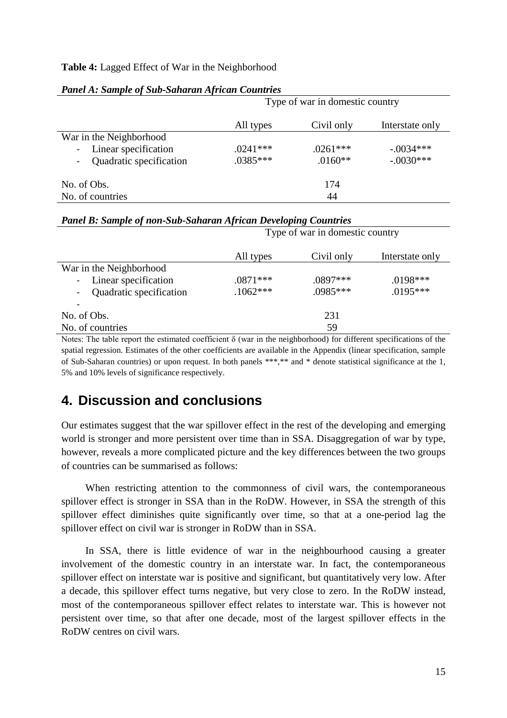#### **Table 4:** Lagged Effect of War in the Neighborhood

|                         |            | Type of war in domestic country |                 |
|-------------------------|------------|---------------------------------|-----------------|
|                         | All types  | Civil only                      | Interstate only |
| War in the Neighborhood |            |                                 |                 |
| Linear specification    | $.0241***$ | $.0261***$                      | $-.0034***$     |
| Quadratic specification | $.0385***$ | $.0160**$                       | $-.0030***$     |
| No. of Obs.             |            | 174                             |                 |
| No. of countries        |            | 44                              |                 |

| <b>Panel A: Sample of Sub-Saharan African Countries</b> |  |  |
|---------------------------------------------------------|--|--|
|---------------------------------------------------------|--|--|

|                         | <b>Panel B: Sample of non-Sub-Saharan African Developing Countries</b> |            |                 |  |  |
|-------------------------|------------------------------------------------------------------------|------------|-----------------|--|--|
|                         | Type of war in domestic country                                        |            |                 |  |  |
|                         | All types                                                              | Civil only | Interstate only |  |  |
| War in the Neighborhood |                                                                        |            |                 |  |  |
| Linear specification    | $.0871***$                                                             | $.0897***$ | $.0198***$      |  |  |
| Quadratic specification | $.1062***$                                                             | $.0985***$ | $.0195***$      |  |  |
|                         |                                                                        |            |                 |  |  |
| No. of Obs.             |                                                                        | 231        |                 |  |  |
| No. of countries        |                                                                        | 59         |                 |  |  |
|                         |                                                                        |            |                 |  |  |

Notes: The table report the estimated coefficient  $\delta$  (war in the neighborhood) for different specifications of the spatial regression. Estimates of the other coefficients are available in the Appendix (linear specification, sample of Sub-Saharan countries) or upon request. In both panels \*\*\*,\*\* and \* denote statistical significance at the 1, 5% and 10% levels of significance respectively.

## **4. Discussion and conclusions**

Our estimates suggest that the war spillover effect in the rest of the developing and emerging world is stronger and more persistent over time than in SSA. Disaggregation of war by type, however, reveals a more complicated picture and the key differences between the two groups of countries can be summarised as follows:

When restricting attention to the commonness of civil wars, the contemporaneous spillover effect is stronger in SSA than in the RoDW. However, in SSA the strength of this spillover effect diminishes quite significantly over time, so that at a one-period lag the spillover effect on civil war is stronger in RoDW than in SSA.

In SSA, there is little evidence of war in the neighbourhood causing a greater involvement of the domestic country in an interstate war. In fact, the contemporaneous spillover effect on interstate war is positive and significant, but quantitatively very low. After a decade, this spillover effect turns negative, but very close to zero. In the RoDW instead, most of the contemporaneous spillover effect relates to interstate war. This is however not persistent over time, so that after one decade, most of the largest spillover effects in the RoDW centres on civil wars.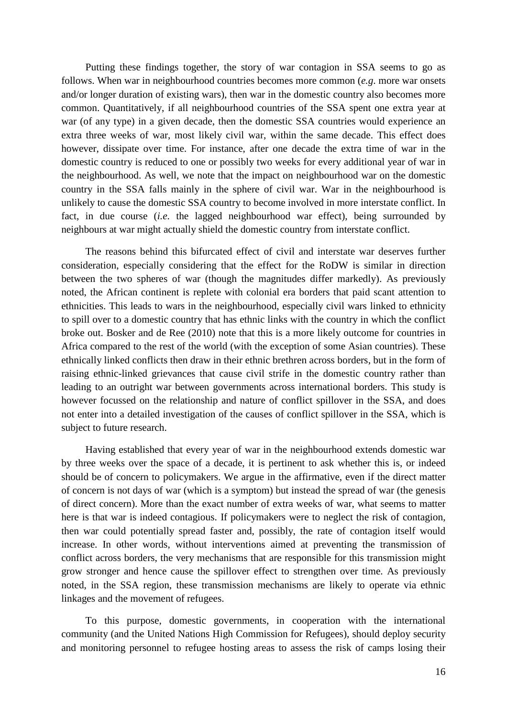Putting these findings together, the story of war contagion in SSA seems to go as follows. When war in neighbourhood countries becomes more common (*e.g*. more war onsets and/or longer duration of existing wars), then war in the domestic country also becomes more common. Quantitatively, if all neighbourhood countries of the SSA spent one extra year at war (of any type) in a given decade, then the domestic SSA countries would experience an extra three weeks of war, most likely civil war, within the same decade. This effect does however, dissipate over time. For instance, after one decade the extra time of war in the domestic country is reduced to one or possibly two weeks for every additional year of war in the neighbourhood. As well, we note that the impact on neighbourhood war on the domestic country in the SSA falls mainly in the sphere of civil war. War in the neighbourhood is unlikely to cause the domestic SSA country to become involved in more interstate conflict. In fact, in due course (*i.e*. the lagged neighbourhood war effect), being surrounded by neighbours at war might actually shield the domestic country from interstate conflict.

The reasons behind this bifurcated effect of civil and interstate war deserves further consideration, especially considering that the effect for the RoDW is similar in direction between the two spheres of war (though the magnitudes differ markedly). As previously noted, the African continent is replete with colonial era borders that paid scant attention to ethnicities. This leads to wars in the neighbourhood, especially civil wars linked to ethnicity to spill over to a domestic country that has ethnic links with the country in which the conflict broke out. Bosker and de Ree (2010) note that this is a more likely outcome for countries in Africa compared to the rest of the world (with the exception of some Asian countries). These ethnically linked conflicts then draw in their ethnic brethren across borders, but in the form of raising ethnic-linked grievances that cause civil strife in the domestic country rather than leading to an outright war between governments across international borders. This study is however focussed on the relationship and nature of conflict spillover in the SSA, and does not enter into a detailed investigation of the causes of conflict spillover in the SSA, which is subject to future research.

Having established that every year of war in the neighbourhood extends domestic war by three weeks over the space of a decade, it is pertinent to ask whether this is, or indeed should be of concern to policymakers. We argue in the affirmative, even if the direct matter of concern is not days of war (which is a symptom) but instead the spread of war (the genesis of direct concern). More than the exact number of extra weeks of war, what seems to matter here is that war is indeed contagious. If policymakers were to neglect the risk of contagion, then war could potentially spread faster and, possibly, the rate of contagion itself would increase. In other words, without interventions aimed at preventing the transmission of conflict across borders, the very mechanisms that are responsible for this transmission might grow stronger and hence cause the spillover effect to strengthen over time. As previously noted, in the SSA region, these transmission mechanisms are likely to operate via ethnic linkages and the movement of refugees.

To this purpose, domestic governments, in cooperation with the international community (and the United Nations High Commission for Refugees), should deploy security and monitoring personnel to refugee hosting areas to assess the risk of camps losing their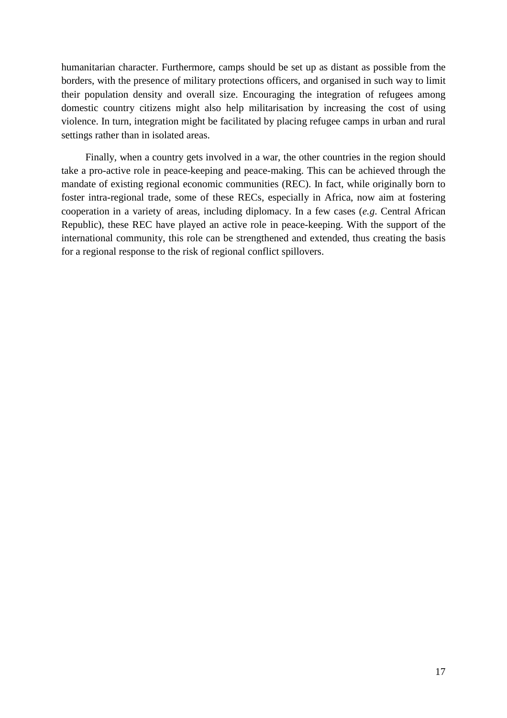humanitarian character. Furthermore, camps should be set up as distant as possible from the borders, with the presence of military protections officers, and organised in such way to limit their population density and overall size. Encouraging the integration of refugees among domestic country citizens might also help militarisation by increasing the cost of using violence. In turn, integration might be facilitated by placing refugee camps in urban and rural settings rather than in isolated areas.

Finally, when a country gets involved in a war, the other countries in the region should take a pro-active role in peace-keeping and peace-making. This can be achieved through the mandate of existing regional economic communities (REC). In fact, while originally born to foster intra-regional trade, some of these RECs, especially in Africa, now aim at fostering cooperation in a variety of areas, including diplomacy. In a few cases (*e.g*. Central African Republic), these REC have played an active role in peace-keeping. With the support of the international community, this role can be strengthened and extended, thus creating the basis for a regional response to the risk of regional conflict spillovers.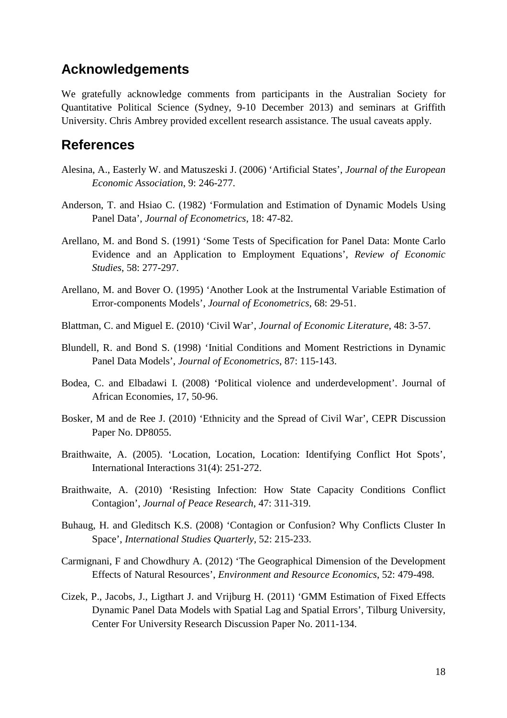### **Acknowledgements**

We gratefully acknowledge comments from participants in the Australian Society for Quantitative Political Science (Sydney, 9-10 December 2013) and seminars at Griffith University. Chris Ambrey provided excellent research assistance. The usual caveats apply.

## **References**

- Alesina, A., Easterly W. and Matuszeski J. (2006) 'Artificial States', *Journal of the European Economic Association*, 9: 246-277.
- Anderson, T. and Hsiao C. (1982) 'Formulation and Estimation of Dynamic Models Using Panel Data', *Journal of Econometrics*, 18: 47-82.
- Arellano, M. and Bond S. (1991) 'Some Tests of Specification for Panel Data: Monte Carlo Evidence and an Application to Employment Equations', *Review of Economic Studies*, 58: 277-297.
- Arellano, M. and Bover O. (1995) 'Another Look at the Instrumental Variable Estimation of Error-components Models', *Journal of Econometrics*, 68: 29-51.
- Blattman, C. and Miguel E. (2010) 'Civil War', *Journal of Economic Literature*, 48: 3-57.
- Blundell, R. and Bond S. (1998) 'Initial Conditions and Moment Restrictions in Dynamic Panel Data Models', *Journal of Econometrics*, 87: 115-143.
- Bodea, C. and Elbadawi I. (2008) 'Political violence and underdevelopment'. Journal of African Economies, 17, 50-96.
- Bosker, M and de Ree J. (2010) 'Ethnicity and the Spread of Civil War', CEPR Discussion Paper No. DP8055.
- Braithwaite, A. (2005). 'Location, Location, Location: Identifying Conflict Hot Spots', International Interactions 31(4): 251-272.
- Braithwaite, A. (2010) 'Resisting Infection: How State Capacity Conditions Conflict Contagion', *Journal of Peace Research*, 47: 311-319.
- Buhaug, H. and Gleditsch K.S. (2008) 'Contagion or Confusion? Why Conflicts Cluster In Space', *International Studies Quarterly*, 52: 215-233.
- Carmignani, F and Chowdhury A. (2012) 'The Geographical Dimension of the Development Effects of Natural Resources', *Environment and Resource Economics*, 52: 479-498.
- Cizek, P., Jacobs, J., Ligthart J. and Vrijburg H. (2011) 'GMM Estimation of Fixed Effects Dynamic Panel Data Models with Spatial Lag and Spatial Errors', Tilburg University, Center For University Research Discussion Paper No. 2011-134.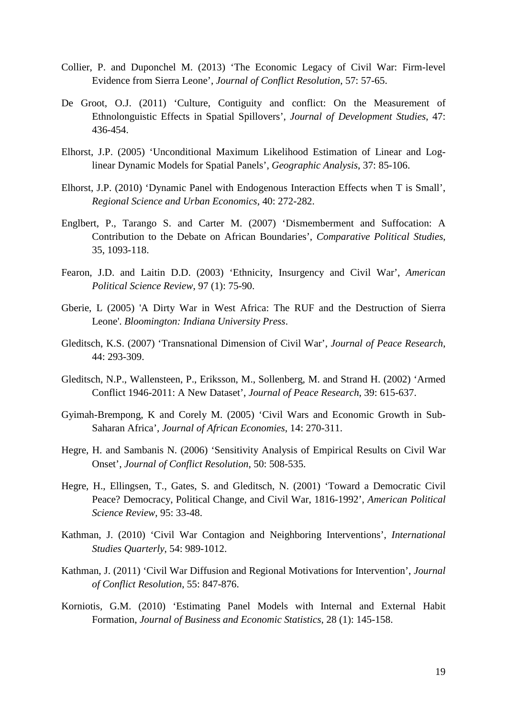- Collier, P. and Duponchel M. (2013) 'The Economic Legacy of Civil War: Firm-level Evidence from Sierra Leone', *Journal of Conflict Resolution*, 57: 57-65.
- De Groot, O.J. (2011) 'Culture, Contiguity and conflict: On the Measurement of Ethnolonguistic Effects in Spatial Spillovers', *Journal of Development Studies*, 47: 436-454.
- Elhorst, J.P. (2005) 'Unconditional Maximum Likelihood Estimation of Linear and Loglinear Dynamic Models for Spatial Panels', *Geographic Analysis*, 37: 85-106.
- Elhorst, J.P. (2010) 'Dynamic Panel with Endogenous Interaction Effects when T is Small', *Regional Science and Urban Economics*, 40: 272-282.
- Englbert, P., Tarango S. and Carter M. (2007) 'Dismemberment and Suffocation: A Contribution to the Debate on African Boundaries', *Comparative Political Studies*, 35, 1093-118.
- Fearon, J.D. and Laitin D.D. (2003) 'Ethnicity, Insurgency and Civil War', *American Political Science Review*, 97 (1): 75-90.
- Gberie, L (2005) 'A Dirty War in West Africa: The RUF and the Destruction of Sierra Leone'. *Bloomington: Indiana University Press*.
- Gleditsch, K.S. (2007) 'Transnational Dimension of Civil War', *Journal of Peace Research*, 44: 293-309.
- Gleditsch, N.P., Wallensteen, P., Eriksson, M., Sollenberg, M. and Strand H. (2002) 'Armed Conflict 1946-2011: A New Dataset', *Journal of Peace Research*, 39: 615-637.
- Gyimah-Brempong, K and Corely M. (2005) 'Civil Wars and Economic Growth in Sub-Saharan Africa', *Journal of African Economies*, 14: 270-311.
- Hegre, H. and Sambanis N. (2006) 'Sensitivity Analysis of Empirical Results on Civil War Onset', *Journal of Conflict Resolution*, 50: 508-535.
- Hegre, H., Ellingsen, T., Gates, S. and Gleditsch, N. (2001) 'Toward a Democratic Civil Peace? Democracy, Political Change, and Civil War, 1816-1992', *American Political Science Review*, 95: 33-48.
- Kathman, J. (2010) 'Civil War Contagion and Neighboring Interventions', *International Studies Quarterly*, 54: 989-1012.
- Kathman, J. (2011) 'Civil War Diffusion and Regional Motivations for Intervention', *Journal of Conflict Resolution*, 55: 847-876.
- Korniotis, G.M. (2010) 'Estimating Panel Models with Internal and External Habit Formation, *Journal of Business and Economic Statistics*, 28 (1): 145-158.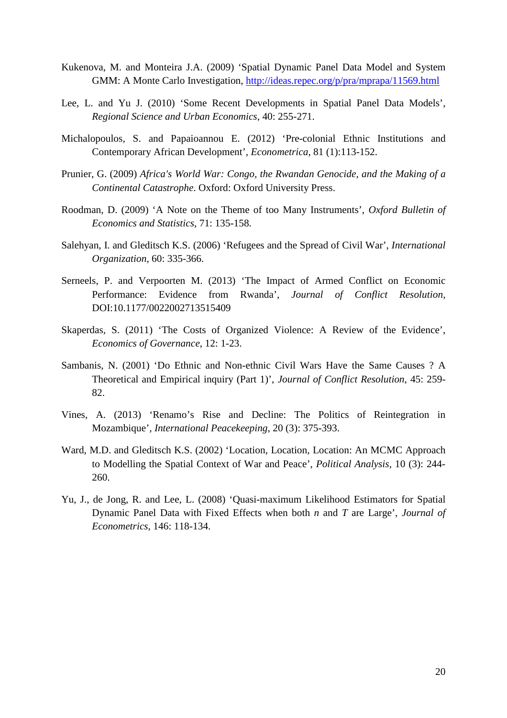- Kukenova, M. and Monteira J.A. (2009) 'Spatial Dynamic Panel Data Model and System GMM: A Monte Carlo Investigation,<http://ideas.repec.org/p/pra/mprapa/11569.html>
- Lee, L. and Yu J. (2010) 'Some Recent Developments in Spatial Panel Data Models', *Regional Science and Urban Economics*, 40: 255-271.
- Michalopoulos, S. and Papaioannou E. (2012) 'Pre-colonial Ethnic Institutions and Contemporary African Development', *Econometrica*, 81 (1):113-152.
- Prunier, G. (2009) *Africa's World War: Congo, the Rwandan Genocide, and the Making of a Continental Catastrophe*. Oxford: Oxford University Press.
- Roodman, D. (2009) 'A Note on the Theme of too Many Instruments', *Oxford Bulletin of Economics and Statistics*, 71: 135-158.
- Salehyan, I. and Gleditsch K.S. (2006) 'Refugees and the Spread of Civil War', *International Organization*, 60: 335-366.
- Serneels, P. and Verpoorten M. (2013) 'The Impact of Armed Conflict on Economic Performance: Evidence from Rwanda', *Journal of Conflict Resolution*, DOI:10.1177/0022002713515409
- Skaperdas, S. (2011) 'The Costs of Organized Violence: A Review of the Evidence', *Economics of Governance*, 12: 1-23.
- Sambanis, N. (2001) 'Do Ethnic and Non-ethnic Civil Wars Have the Same Causes ? A Theoretical and Empirical inquiry (Part 1)', *Journal of Conflict Resolution*, 45: 259- 82.
- Vines, A. (2013) 'Renamo's Rise and Decline: The Politics of Reintegration in Mozambique', *International Peacekeeping*, 20 (3): 375-393.
- Ward, M.D. and Gleditsch K.S. (2002) 'Location, Location, Location: An MCMC Approach to Modelling the Spatial Context of War and Peace', *Political Analysis*, 10 (3): 244- 260.
- Yu, J., de Jong, R. and Lee, L. (2008) 'Quasi-maximum Likelihood Estimators for Spatial Dynamic Panel Data with Fixed Effects when both *n* and *T* are Large', *Journal of Econometrics*, 146: 118-134.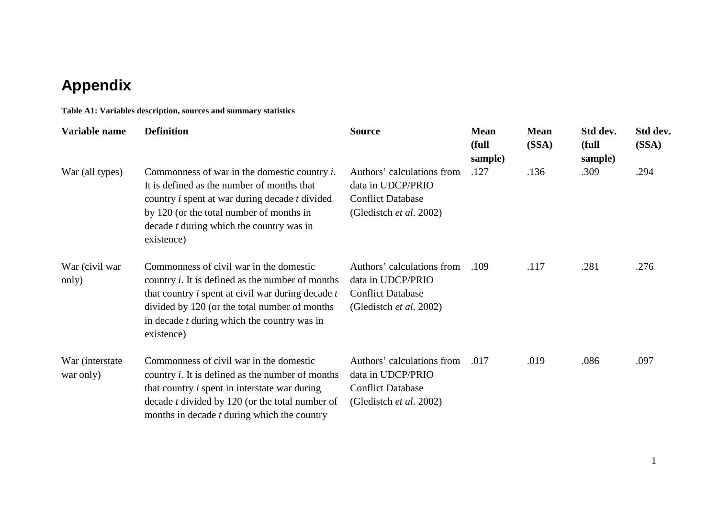## **Appendix**

**Table A1: Variables description, sources and summary statistics**

| Variable name                 | <b>Definition</b>                                                                                                                                                                                                                                                                            | <b>Source</b>                                                                                          | <b>Mean</b><br>(full<br>sample) | <b>Mean</b><br>(SSA) | Std dev.<br>(full<br>sample) | Std dev.<br>(SSA) |
|-------------------------------|----------------------------------------------------------------------------------------------------------------------------------------------------------------------------------------------------------------------------------------------------------------------------------------------|--------------------------------------------------------------------------------------------------------|---------------------------------|----------------------|------------------------------|-------------------|
| War (all types)               | Commonness of war in the domestic country $i$ .<br>It is defined as the number of months that<br>country <i>i</i> spent at war during decade <i>t</i> divided<br>by 120 (or the total number of months in<br>decade $t$ during which the country was in<br>existence)                        | Authors' calculations from<br>data in UDCP/PRIO<br><b>Conflict Database</b><br>(Gledistch et al. 2002) | .127                            | .136                 | .309                         | .294              |
| War (civil war)<br>only)      | Commonness of civil war in the domestic<br>country <i>i</i> . It is defined as the number of months<br>that country <i>i</i> spent at civil war during decade <i>t</i><br>divided by 120 (or the total number of months)<br>in decade <i>t</i> during which the country was in<br>existence) | Authors' calculations from<br>data in UDCP/PRIO<br><b>Conflict Database</b><br>(Gledistch et al. 2002) | .109                            | .117                 | .281                         | .276              |
| War (interstate)<br>war only) | Commonness of civil war in the domestic<br>country $i$ . It is defined as the number of months<br>that country <i>i</i> spent in interstate war during<br>decade <i>t</i> divided by 120 (or the total number of<br>months in decade <i>t</i> during which the country                       | Authors' calculations from<br>data in UDCP/PRIO<br><b>Conflict Database</b><br>(Gledistch et al. 2002) | .017                            | .019                 | .086                         | .097              |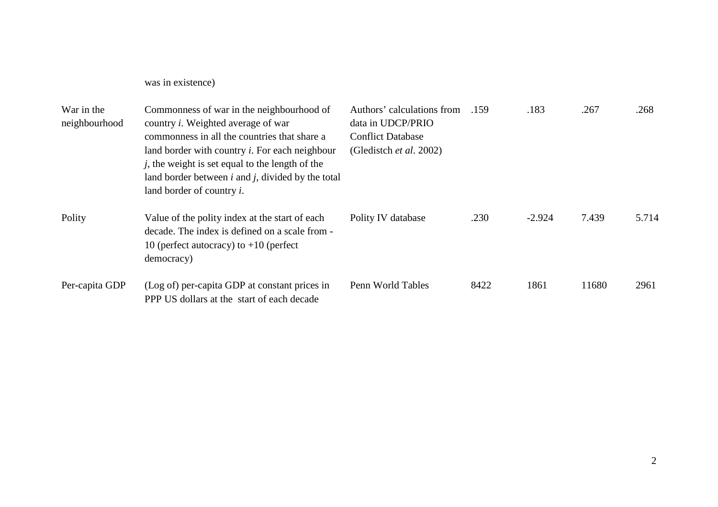was in existence)

| War in the<br>neighbourhood | Commonness of war in the neighbourhood of<br>country <i>i</i> . Weighted average of war<br>commonness in all the countries that share a<br>land border with country <i>i</i> . For each neighbour<br>$j$ , the weight is set equal to the length of the<br>land border between $i$ and $j$ , divided by the total<br>land border of country <i>i</i> . | Authors' calculations from<br>data in UDCP/PRIO<br><b>Conflict Database</b><br>(Gledistch <i>et al.</i> 2002) | .159 | .183     | .267  | .268  |
|-----------------------------|--------------------------------------------------------------------------------------------------------------------------------------------------------------------------------------------------------------------------------------------------------------------------------------------------------------------------------------------------------|---------------------------------------------------------------------------------------------------------------|------|----------|-------|-------|
| Polity                      | Value of the polity index at the start of each<br>decade. The index is defined on a scale from -<br>10 (perfect autocracy) to $+10$ (perfect<br>democracy)                                                                                                                                                                                             | Polity IV database                                                                                            | .230 | $-2.924$ | 7.439 | 5.714 |
| Per-capita GDP              | (Log of) per-capita GDP at constant prices in<br>PPP US dollars at the start of each decade                                                                                                                                                                                                                                                            | Penn World Tables                                                                                             | 8422 | 1861     | 11680 | 2961  |